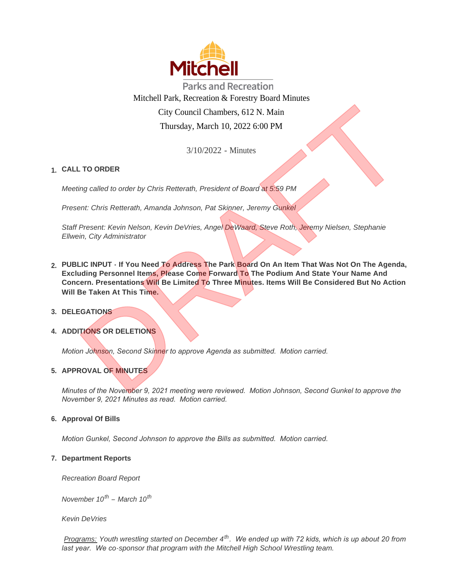

**Parks and Recreation** Mitchell Park, Recreation & Forestry Board Minutes City Council Chambers, 612 N. Main Thursday, March 10, 2022 6:00 PM

3/10/2022 - Minutes

# **CALL TO ORDER 1.**

*Meeting called to order by Chris Retterath, President of Board at 5:59 PM*

*Present: Chris Retterath, Amanda Johnson, Pat Skinner, Jeremy Gunkel*

*Staff Present: Kevin Nelson, Kevin DeVries, Angel DeWaard, Steve Roth, Jeremy Nielsen, Stephanie Ellwein, City Administrator*

- **PUBLIC INPUT If You Need To Address The Park Board On An Item That Was Not On The Agenda, 2. Excluding Personnel Items, Please Come Forward To The Podium And State Your Name And Concern. Presentations Will Be Limited To Three Minutes. Items Will Be Considered But No Action Will Be Taken At This Time.** City Council Chambers, 612 N. Main<br>
Thursday, March 10, 2022 6:00 PM<br>
3/10/2022 - Minutes<br>
ing called to order by Chris Retterath, President of Board at 5:59 PM<br>
ant: Chris Retterath, Amanda Johnson, Pat Skinner, Jeremy Gu
- **DELEGATIONS 3.**
- **4. ADDITIONS OR DELETIONS**

*Motion Johnson, Second Skinner to approve Agenda as submitted. Motion carried.*

# **APPROVAL OF MINUTES 5.**

*Minutes of the November 9, 2021 meeting were reviewed. Motion Johnson, Second Gunkel to approve the November 9, 2021 Minutes as read. Motion carried.*

# **Approval Of Bills 6.**

*Motion Gunkel, Second Johnson to approve the Bills as submitted. Motion carried.*

# **Department Reports 7.**

*Recreation Board Report*

*November 10th – March 10th*

*Kevin DeVries*

*Programs: Youth wrestling started on December 4th. We ended up with 72 kids, which is up about 20 from last year. We co-sponsor that program with the Mitchell High School Wrestling team.*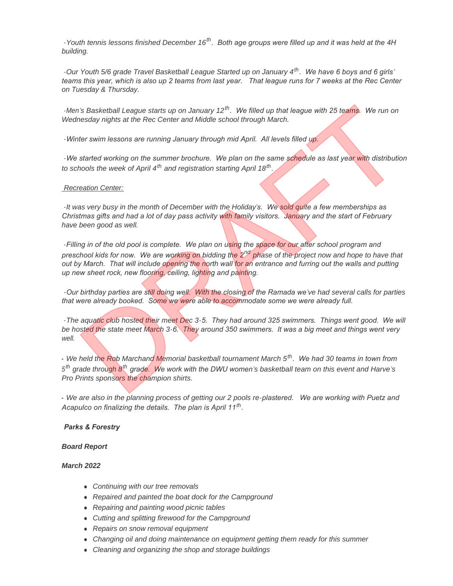*-Youth tennis lessons finished December 16th. Both age groups were filled up and it was held at the 4H building.*

*-Our Youth 5/6 grade Travel Basketball League Started up on January 4th. We have 6 boys and 6 girls' teams this year, which is also up 2 teams from last year. That league runs for 7 weeks at the Rec Center on Tuesday & Thursday.*

*-Men's Basketball League starts up on January 12th. We filled up that league with 25 teams. We run on Wednesday nights at the Rec Center and Middle school through March.*

*-Winter swim lessons are running January through mid April. All levels filled up.*

*-We started working on the summer brochure. We plan on the same schedule as last year with distribution to schools the week of April 4th and registration starting April 18th .* 

#### *Recreation Center:*

*-It was very busy in the month of December with the Holiday's. We sold quite a few memberships as Christmas gifts and had a lot of day pass activity with family visitors. January and the start of February have been good as well.*

*-Filling in of the old pool is complete. We plan on using the space for our after school program and preschool kids for now. We are working on bidding the 2nd phase of the project now and hope to have that out by March. That will include opening the north wall for an entrance and furring out the walls and putting up new sheet rock, new flooring, ceiling, lighting and painting.*  i's Basketball League starts up on January 12<sup>m</sup>. We filled up that league with 25 teams. We run on<br>resday nights at the Rec Center and Middle school through March.<br>Her swim lessons are running January through mid April. A

*-Our birthday parties are still doing well. With the closing of the Ramada we've had several calls for parties that were already booked. Some we were able to accommodate some we were already full.* 

*-The aquatic club hosted their meet Dec 3-5. They had around 325 swimmers. Things went good. We will be hosted the state meet March 3-6. They around 350 swimmers. It was a big meet and things went very well.*

*- We held the Rob Marchand Memorial basketball tournament March 5th. We had 30 teams in town from 5 th grade through 8th grade. We work with the DWU women's basketball team on this event and Harve's Pro Prints sponsors the champion shirts.*

*- We are also in the planning process of getting our 2 pools re-plastered. We are working with Puetz and Acapulco on finalizing the details. The plan is April 11th .* 

#### *Parks & Forestry*

#### *Board Report*

#### *March 2022*

- **Continuing with our tree removals**
- **•** Repaired and painted the boat dock for the Campground
- <sup>l</sup> *Repairing and painting wood picnic tables*
- **•** Cutting and splitting firewood for the Campground
- **•** Repairs on snow removal equipment
- **Changing oil and doing maintenance on equipment getting them ready for this summer**
- **•** Cleaning and organizing the shop and storage buildings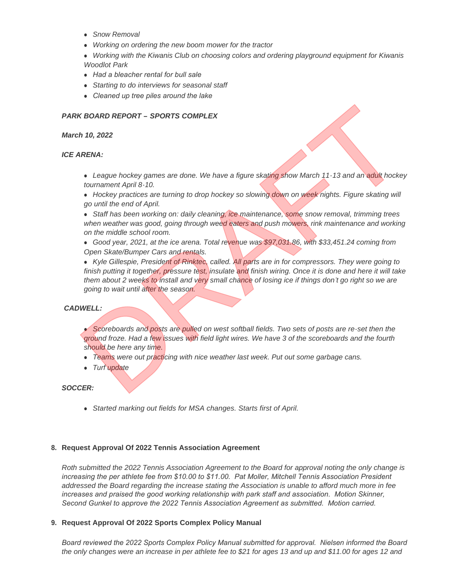- **Show Removal**
- **•** Working on ordering the new boom mower for the tractor
- <sup>l</sup> *Working with the Kiwanis Club on choosing colors and ordering playground equipment for Kiwanis Woodlot Park*
- **•** Had a bleacher rental for bull sale
- **Starting to do interviews for seasonal staff**
- <sup>l</sup> *Cleaned up tree piles around the lake*

## *PARK BOARD REPORT – SPORTS COMPLEX*

#### *March 10, 2022*

#### *ICE ARENA:*

- **League hockey games are done. We have a figure skating show March 11-13 and an adult hockey** *tournament April 8-10.*
- Hockey practices are turning to drop hockey so slowing down on week nights. Figure skating will *go until the end of April.*
- **Staff has been working on: daily cleaning, ice maintenance, some snow removal, trimming trees** when weather was good, going through weed eaters and push mowers, rink maintenance and working *on the middle school room.*
- **Good year, 2021, at the ice arena. Total revenue was \$97,031.86, with \$33,451.24 coming from** *Open Skate/Bumper Cars and rentals.*

**• Kyle Gillespie, President of Rinktec, called. All parts are in for compressors. They were going to** *finish putting it together, pressure test, insulate and finish wiring. Once it is done and here it will take them about 2 weeks to install and very small chance of losing ice if things don't go right so we are going to wait until after the season.* K BOARD REPORT - SPORTS COMPLEX<br>
In 10, 2022<br>
ARENA:<br>
• League hockey games are done. We have a figure skating show March 11-13 and an addit hocke<br>
• Hockey practices are turning to drop hockey so slowing down on week high

#### *CADWELL:*

• Scoreboards and posts are pulled on west softball fields. Two sets of posts are re-set then the *ground froze. Had a few issues with field light wires. We have 3 of the scoreboards and the fourth should be here any time.* 

- **Teams** were out practicing with nice weather last week. Put out some garbage cans.
- Turf update

#### *SOCCER:*

**•** Started marking out fields for MSA changes. Starts first of April.

#### **Request Approval Of 2022 Tennis Association Agreement 8.**

*Roth submitted the 2022 Tennis Association Agreement to the Board for approval noting the only change is increasing the per athlete fee from \$10.00 to \$11.00. Pat Moller, Mitchell Tennis Association President addressed the Board regarding the increase stating the Association is unable to afford much more in fee increases and praised the good working relationship with park staff and association. Motion Skinner, Second Gunkel to approve the 2022 Tennis Association Agreement as submitted. Motion carried.* 

#### **Request Approval Of 2022 Sports Complex Policy Manual 9.**

*Board reviewed the 2022 Sports Complex Policy Manual submitted for approval. Nielsen informed the Board the only changes were an increase in per athlete fee to \$21 for ages 13 and up and \$11.00 for ages 12 and*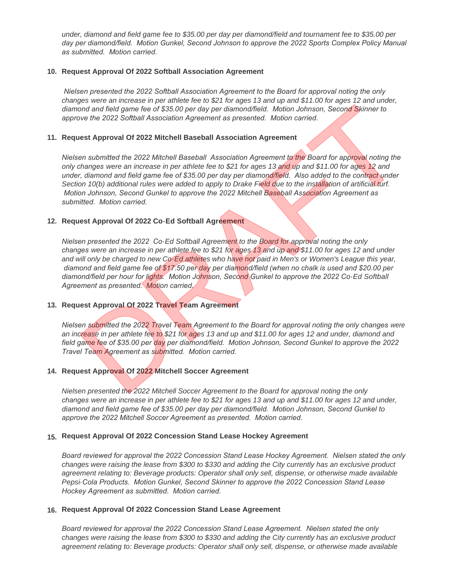*under, diamond and field game fee to \$35.00 per day per diamond/field and tournament fee to \$35.00 per day per diamond/field. Motion Gunkel, Second Johnson to approve the 2022 Sports Complex Policy Manual as submitted. Motion carried.*

### **Request Approval Of 2022 Softball Association Agreement 10.**

 *Nielsen presented the 2022 Softball Association Agreement to the Board for approval noting the only changes were an increase in per athlete fee to \$21 for ages 13 and up and \$11.00 for ages 12 and under, diamond and field game fee of \$35.00 per day per diamond/field. Motion Johnson, Second Skinner to approve the 2022 Softball Association Agreement as presented. Motion carried.* 

### **Request Approval Of 2022 Mitchell Baseball Association Agreement 11.**

*Nielsen submitted the 2022 Mitchell Baseball Association Agreement to the Board for approval noting the only changes were an increase in per athlete fee to \$21 for ages 13 and up and \$11.00 for ages 12 and*  under, diamond and field game fee of \$35.00 per day per diamond/field. Also added to the contract under Section 10(b) additional rules were added to apply to Drake Field due to the installation of artificial turf.  *Motion Johnson, Second Gunkel to approve the 2022 Mitchell Baseball Association Agreement as submitted. Motion carried.* the mustain and field game fee of \$35.00 per day per diamond/field. Motion Johnson, Second Skinner to<br>ond and field game fee of \$35.00 per day per diamond/field. Motion Johnson, Second Skinner to<br>you the 2022 Softball Asso

## **Request Approval Of 2022 Co-Ed Softball Agreement 12.**

*Nielsen presented the 2022 Co-Ed Softball Agreement to the Board for approval noting the only changes were an increase in per athlete fee to \$21 for ages 13 and up and \$11.00 for ages 12 and under*  and will only be charged to new Co-Ed athletes who have not paid in Men's or Women's League this year,  *diamond and field game fee of \$17.50 per day per diamond/field (when no chalk is used and \$20.00 per diamond/field per hour for lights. Motion Johnson, Second Gunkel to approve the 2022 Co-Ed Softball Agreement as presented. Motion carried.*

#### 13. Request Approval Of 2022 Travel Team Agreement

*Nielsen submitted the 2022 Travel Team Agreement to the Board for approval noting the only changes were an increase in per athlete fee to \$21 for ages 13 and up and \$11.00 for ages 12 and under, diamond and field game fee of \$35.00 per day per diamond/field. Motion Johnson, Second Gunkel to approve the 2022 Travel Team Agreement as submitted. Motion carried.*

#### **Request Approval Of 2022 Mitchell Soccer Agreement 14.**

*Nielsen presented the 2022 Mitchell Soccer Agreement to the Board for approval noting the only changes were an increase in per athlete fee to \$21 for ages 13 and up and \$11.00 for ages 12 and under, diamond and field game fee of \$35.00 per day per diamond/field. Motion Johnson, Second Gunkel to approve the 2022 Mitchell Soccer Agreement as presented. Motion carried.*

# **Request Approval Of 2022 Concession Stand Lease Hockey Agreement 15.**

*Board reviewed for approval the 2022 Concession Stand Lease Hockey Agreement. Nielsen stated the only changes were raising the lease from \$300 to \$330 and adding the City currently has an exclusive product agreement relating to: Beverage products: Operator shall only sell, dispense, or otherwise made available Pepsi-Cola Products. Motion Gunkel, Second Skinner to approve the 2022 Concession Stand Lease Hockey Agreement as submitted. Motion carried.* 

# **Request Approval Of 2022 Concession Stand Lease Agreement 16.**

*Board reviewed for approval the 2022 Concession Stand Lease Agreement. Nielsen stated the only changes were raising the lease from \$300 to \$330 and adding the City currently has an exclusive product agreement relating to: Beverage products: Operator shall only sell, dispense, or otherwise made available*